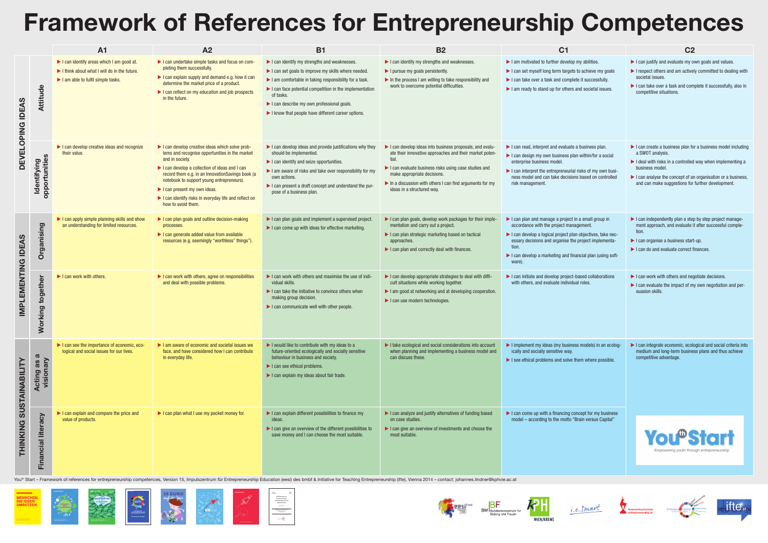## Framework of References for Entrepreneurship Competences

|                                                                                                      | <b>C22</b>                                                                                                                                                                                                                                                                                                                                            |  |  |  |  |
|------------------------------------------------------------------------------------------------------|-------------------------------------------------------------------------------------------------------------------------------------------------------------------------------------------------------------------------------------------------------------------------------------------------------------------------------------------------------|--|--|--|--|
| ly abilities.<br>b achieve my goals<br>it successfully.<br>d societal issues.                        | $\blacktriangleright$ I can justify and evaluate my own goals and values.<br>$\blacktriangleright$ I respect others and am actively committed to dealing with<br>societal issues.<br>$\blacktriangleright$ I can take over a task and complete it successfully, also in<br>competitive situations.                                                    |  |  |  |  |
| business plan.<br>within/for a social<br>sks of my own busi-<br>based on controlled                  | $\blacktriangleright$ I can create a business plan for a business model including<br>a SWOT analysis.<br>$\blacktriangleright$ I deal with risks in a controlled way when implementing a<br>business model.<br>$\blacktriangleright$ I can analyse the concept of an organisation or a business,<br>and can make suggestions for further development. |  |  |  |  |
| a small group in<br>ement.<br>objectives, take nec-<br>roject implementa-<br>icial plan (using soft- | $\blacktriangleright$ I can independently plan a step by step project manage-<br>ment approach, and evaluate it after successful comple-<br>tion.<br>$\blacktriangleright$ I can organise a business start-up.<br>$\blacktriangleright$ I can do and evaluate correct finances.                                                                       |  |  |  |  |
| <b>ised collaborations</b><br>roles.                                                                 | $\blacktriangleright$ I can work with others and negotiate decisions.<br>$\blacktriangleright$ I can evaluate the impact of my own negotiation and per-<br>suasion skills.                                                                                                                                                                            |  |  |  |  |
| models) in an ecolog-<br>em where possible.                                                          | $\blacktriangleright$ I can integrate economic, ecological and social criteria into<br>medium and long-term business plans and thus achieve<br>competitive advantage.                                                                                                                                                                                 |  |  |  |  |
| ept for my business<br>ain versus Capital"                                                           | <b>You<sup>t</sup> Start</b><br>Empowering youth through entrepreneurship                                                                                                                                                                                                                                                                             |  |  |  |  |



|                                               |                                                           | <b>A1</b>                                                                                                                                                                | <b>A2</b>                                                                                                                                                                                                                                                                                                                                                                                                 | <b>B1</b>                                                                                                                                                                                                                                                                                                                                                                                                                                         | <b>B2</b>                                                                                                                                                                                                                                                                                                                                               | <b>C1</b>                                                                                                                                                                                                                                                                                                                                         | <b>C2</b>                                                                                                                                                                                                                                         |
|-----------------------------------------------|-----------------------------------------------------------|--------------------------------------------------------------------------------------------------------------------------------------------------------------------------|-----------------------------------------------------------------------------------------------------------------------------------------------------------------------------------------------------------------------------------------------------------------------------------------------------------------------------------------------------------------------------------------------------------|---------------------------------------------------------------------------------------------------------------------------------------------------------------------------------------------------------------------------------------------------------------------------------------------------------------------------------------------------------------------------------------------------------------------------------------------------|---------------------------------------------------------------------------------------------------------------------------------------------------------------------------------------------------------------------------------------------------------------------------------------------------------------------------------------------------------|---------------------------------------------------------------------------------------------------------------------------------------------------------------------------------------------------------------------------------------------------------------------------------------------------------------------------------------------------|---------------------------------------------------------------------------------------------------------------------------------------------------------------------------------------------------------------------------------------------------|
| <b>IDEAS</b><br><b>DNIAOT</b><br>U≣<br>E<br>O | $\frac{\mathbf{0}}{\mathbf{0}}$                           | I can identify areas which I am good at.<br>$\blacktriangleright$ I think about what I will do in the future.<br>$\blacktriangleright$ I am able to fulfil simple tasks. | I can undertake simple tasks and focus on com-<br>pleting them successfully.<br>$\blacktriangleright$ I can explain supply and demand e.g. how it can<br>determine the market price of a product.<br>I can reflect on my education and job prospects<br>in the future.                                                                                                                                    | $\blacktriangleright$ I can identify my strengths and weaknesses.<br>I can set goals to improve my skills where needed.<br>$\blacktriangleright$ I am comfortable in taking responsibility for a task.<br>$\blacktriangleright$ I can face potential competition in the implementation<br>of tasks.<br>$\blacktriangleright$ I can describe my own professional goals.<br>$\blacktriangleright$ I know that people have different career options. | I can identify my strengths and weaknesses.<br>$\blacktriangleright$ I pursue my goals persistently.<br>$\triangleright$ In the process I am willing to take responsibility and<br>work to overcome potential difficulties.                                                                                                                             | $\blacktriangleright$ I am motivated to further develop my abilities.<br>I can set myself long term targets to achieve my goals<br>I can take over a task and complete it successfully.<br>$\blacktriangleright$ I am ready to stand up for others and societal issues.                                                                           | $\blacktriangleright$ I can justify and evaluate my of<br>I respect others and am activel<br>societal issues.<br>I can take over a task and com<br>competitive situations.                                                                        |
|                                               | ntifying<br>ortunities<br>$\overline{2}$<br>$\frac{a}{b}$ | I can develop creative ideas and recognize<br>their value.                                                                                                               | I can develop creative ideas which solve prob-<br>lems and recognise opportunities in the market<br>and in society.<br>$\blacktriangleright$ I can develop a collection of ideas and I can<br>record them e.g. in an Innovation Savings book (a<br>notebook to support young entrepreneurs).<br>I can present my own ideas.<br>I can identify risks in everyday life and reflect on<br>how to avoid them. | $\blacktriangleright$ I can develop ideas and provide justifications why they<br>should be implemented.<br>I can identify and seize opportunities.<br>I am aware of risks and take over responsibility for my<br>own actions.<br>$\blacktriangleright$ I can present a draft concept and understand the pur-<br>pose of a business plan.                                                                                                          | I can develop ideas into business proposals, and evalu-<br>ate their innovative approaches and their market poten-<br>tial.<br>$\blacktriangleright$ I can evaluate business risks using case studies and<br>make appropriate decisions.<br>$\blacktriangleright$ In a discussion with others I can find arguments for my<br>ideas in a structured way. | $\blacktriangleright$ I can read, interpret and evaluate a business plan.<br>$\blacktriangleright$ I can design my own business plan within/for a social<br>enterprise business model.<br>I can interpret the entrepreneurial risks of my own busi-<br>ness model and can take decisions based on controlled<br>risk management.                  | $\blacktriangleright$ I can create a business plan for<br>a SWOT analysis.<br>$\blacktriangleright$ I deal with risks in a controlled<br>business model.<br>$\blacktriangleright$ I can analyse the concept of ar<br>and can make suggestions for |
| <b>IDEAS</b>                                  | puis<br>0<br>$\mathbf O$                                  | $\blacktriangleright$ I can apply simple planning skills and show<br>an understanding for limited resources.                                                             | I can plan goals and outline decision-making<br>processes.<br>I can generate added value from available<br>resources (e.g. seemingly "worthless" things").                                                                                                                                                                                                                                                | $\blacktriangleright$ I can plan goals and implement a supervised project.<br>$\blacktriangleright$ I can come up with ideas for effective marketing.                                                                                                                                                                                                                                                                                             | I can plan goals, develop work packages for their imple-<br>mentation and carry out a project.<br>I can plan strategic marketing based on tactical<br>approaches.<br>$\blacktriangleright$ I can plan and correctly deal with finances.                                                                                                                 | $\blacktriangleright$ I can plan and manage a project in a small group in<br>accordance with the project management.<br>I can develop a logical project plan objectives, take nec-<br>essary decisions and organise the project implementa-<br>tion.<br>$\blacktriangleright$ I can develop a marketing and financial plan (using soft-<br>ware). | $\blacktriangleright$ I can independently plan a step<br>ment approach, and evaluate it<br>tion<br>$\blacktriangleright$ I can organise a business start<br>$\blacktriangleright$ I can do and evaluate correct f                                 |
| IMPLEMENTING                                  | PO                                                        | I can work with others.                                                                                                                                                  | I can work with others, agree on responsibilities<br>and deal with possible problems.                                                                                                                                                                                                                                                                                                                     | I can work with others and maximise the use of indi-<br>vidual skills.<br>$\blacktriangleright$ I can take the initiative to convince others when<br>making group decision.<br>$\blacktriangleright$ I can communicate well with other people.                                                                                                                                                                                                    | $\blacktriangleright$ I can develop appropriate strategies to deal with diffi-<br>cult situations while working together.<br>I am good at networking and at developing cooperation.<br>$\blacktriangleright$ I can use modern technologies.                                                                                                             | I can initiate and develop project-based collaborations<br>with others, and evaluate individual roles.                                                                                                                                                                                                                                            | I can work with others and neg<br>$\blacktriangleright$ I can evaluate the impact of my<br>suasion skills.                                                                                                                                        |
| <b>NABILIT</b><br><b>SUSTAIN</b>              | $\boldsymbol{\varpi}$<br><b>Acting as and Actional</b>    | I can see the importance of economic, eco-<br>logical and social issues for our lives.                                                                                   | I am aware of economic and societal issues we<br>face, and have considered how I can contribute<br>in everyday life.                                                                                                                                                                                                                                                                                      | I would like to contribute with my ideas to a<br>future-oriented ecologically and socially sensitive<br>behaviour in business and society.<br>l can see ethical problems.<br>I can explain my ideas about fair trade.                                                                                                                                                                                                                             | I take ecological and social considerations into account<br>when planning and implementing a business model and<br>can discuss these.                                                                                                                                                                                                                   | I implement my ideas (my business models) in an ecolog-<br>ically and socially sensitive way.<br>$\blacktriangleright$ I see ethical problems and solve them where possible.                                                                                                                                                                      | I can integrate economic, ecold<br>medium and long-term busines<br>competitive advantage.                                                                                                                                                         |
| THINKING                                      | ි<br>ய                                                    | $\blacktriangleright$ I can explain and compare the price and<br>value of products.                                                                                      | $\blacktriangleright$ I can plan what I use my pocket money for.                                                                                                                                                                                                                                                                                                                                          | $\blacktriangleright$ I can explain different possibilities to finance my<br>ideas.<br>$\blacktriangleright$ I can give an overview of the different possibilities to<br>save money and I can choose the most suitable.                                                                                                                                                                                                                           | I can analyze and justify alternatives of funding based<br>on case studies.<br>$\blacktriangleright$ I can give an overview of investments and choose the<br>most suitable.                                                                                                                                                                             | $\blacktriangleright$ I can come up with a financing concept for my business<br>model – according to the motto "Brain versus Capital"                                                                                                                                                                                                             | Empowering youth throu                                                                                                                                                                                                                            |

You<sup>th</sup> Start – Framework of references for entrepreneurship competences, Version 15, Impulszentrum für Entrepreneurship Education (eesi) des bmbf & Initiative for Teaching Entrepreneurship (ifte), Vienna 2014 – contact: j

MENSCHEN, DIE IDEEN UMSETZEN. **ENTREPRENEUR**